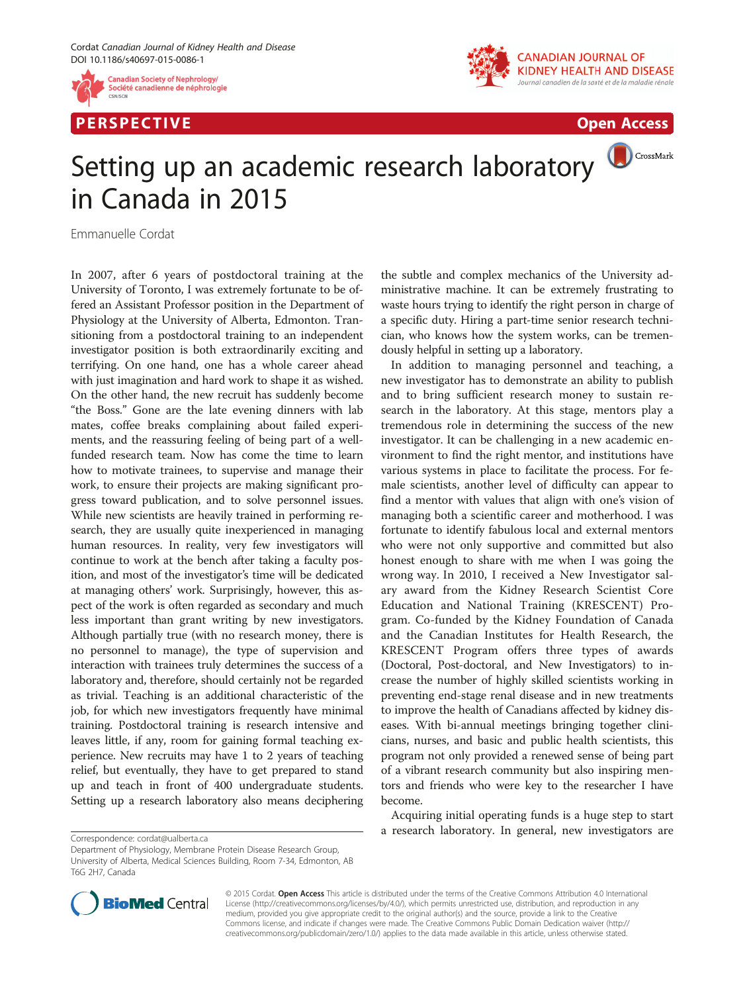

P E R S P E C TIV E Open Access



CrossMark

## Setting up an academic research laboratory in Canada in 2015

Emmanuelle Cordat

In 2007, after 6 years of postdoctoral training at the University of Toronto, I was extremely fortunate to be offered an Assistant Professor position in the Department of Physiology at the University of Alberta, Edmonton. Transitioning from a postdoctoral training to an independent investigator position is both extraordinarily exciting and terrifying. On one hand, one has a whole career ahead with just imagination and hard work to shape it as wished. On the other hand, the new recruit has suddenly become "the Boss." Gone are the late evening dinners with lab mates, coffee breaks complaining about failed experiments, and the reassuring feeling of being part of a wellfunded research team. Now has come the time to learn how to motivate trainees, to supervise and manage their work, to ensure their projects are making significant progress toward publication, and to solve personnel issues. While new scientists are heavily trained in performing research, they are usually quite inexperienced in managing human resources. In reality, very few investigators will continue to work at the bench after taking a faculty position, and most of the investigator's time will be dedicated at managing others' work. Surprisingly, however, this aspect of the work is often regarded as secondary and much less important than grant writing by new investigators. Although partially true (with no research money, there is no personnel to manage), the type of supervision and interaction with trainees truly determines the success of a laboratory and, therefore, should certainly not be regarded as trivial. Teaching is an additional characteristic of the job, for which new investigators frequently have minimal training. Postdoctoral training is research intensive and leaves little, if any, room for gaining formal teaching experience. New recruits may have 1 to 2 years of teaching relief, but eventually, they have to get prepared to stand up and teach in front of 400 undergraduate students. Setting up a research laboratory also means deciphering



In addition to managing personnel and teaching, a new investigator has to demonstrate an ability to publish and to bring sufficient research money to sustain research in the laboratory. At this stage, mentors play a tremendous role in determining the success of the new investigator. It can be challenging in a new academic environment to find the right mentor, and institutions have various systems in place to facilitate the process. For female scientists, another level of difficulty can appear to find a mentor with values that align with one's vision of managing both a scientific career and motherhood. I was fortunate to identify fabulous local and external mentors who were not only supportive and committed but also honest enough to share with me when I was going the wrong way. In 2010, I received a New Investigator salary award from the Kidney Research Scientist Core Education and National Training (KRESCENT) Program. Co-funded by the Kidney Foundation of Canada and the Canadian Institutes for Health Research, the KRESCENT Program offers three types of awards (Doctoral, Post-doctoral, and New Investigators) to increase the number of highly skilled scientists working in preventing end-stage renal disease and in new treatments to improve the health of Canadians affected by kidney diseases. With bi-annual meetings bringing together clinicians, nurses, and basic and public health scientists, this program not only provided a renewed sense of being part of a vibrant research community but also inspiring mentors and friends who were key to the researcher I have become.

Acquiring initial operating funds is a huge step to start a research laboratory. In general, new investigators are Correspondence: [cordat@ualberta.ca](mailto:cordat@ualberta.ca)



© 2015 Cordat. Open Access This article is distributed under the terms of the Creative Commons Attribution 4.0 International License ([http://creativecommons.org/licenses/by/4.0/\)](http://creativecommons.org/licenses/by/4.0/), which permits unrestricted use, distribution, and reproduction in any medium, provided you give appropriate credit to the original author(s) and the source, provide a link to the Creative Commons license, and indicate if changes were made. The Creative Commons Public Domain Dedication waiver ([http://](http://creativecommons.org/publicdomain/zero/1.0/) [creativecommons.org/publicdomain/zero/1.0/\)](http://creativecommons.org/publicdomain/zero/1.0/) applies to the data made available in this article, unless otherwise stated.

Department of Physiology, Membrane Protein Disease Research Group, University of Alberta, Medical Sciences Building, Room 7-34, Edmonton, AB T6G 2H7, Canada